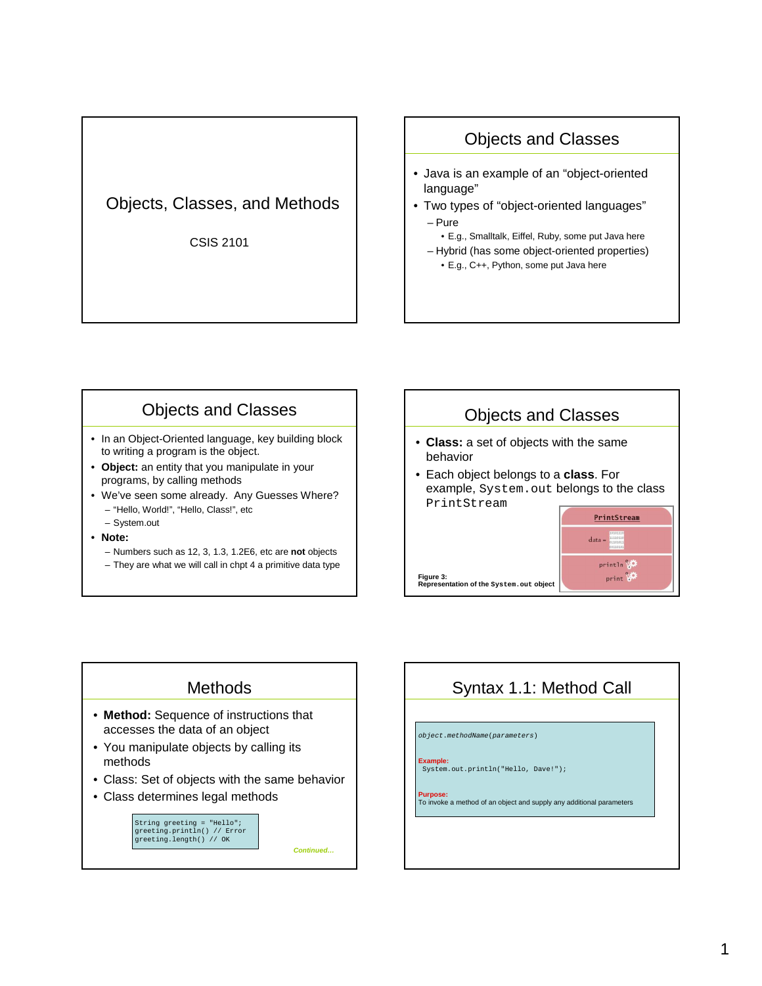## Objects, Classes, and Methods

CSIS 2101

## Objects and Classes

- Java is an example of an "object-oriented language"
- Two types of "object-oriented languages" – Pure
	- E.g., Smalltalk, Eiffel, Ruby, some put Java here
	- Hybrid (has some object-oriented properties) • E.g., C++, Python, some put Java here

## Objects and Classes

- In an Object-Oriented language, key building block to writing a program is the object.
- **Object:** an entity that you manipulate in your programs, by calling methods
- We've seen some already. Any Guesses Where? – "Hello, World!", "Hello, Class!", etc
	- System.out
- **Note:**
	- Numbers such as 12, 3, 1.3, 1.2E6, etc are **not** objects
	- They are what we will call in chpt 4 a primitive data type



#### **Methods**

- **Method:** Sequence of instructions that accesses the data of an object
- You manipulate objects by calling its methods
- Class: Set of objects with the same behavior
- Class determines legal methods

String greeting = "Hello"; greeting.println() // Error greeting.length() // OK

**Continued…**

# Syntax 1.1: Method Call

object.methodName(parameters)

**Example:** System.out.println("Hello, Dave!");

**Purpose:** To invoke a method of an object and supply any additional parameters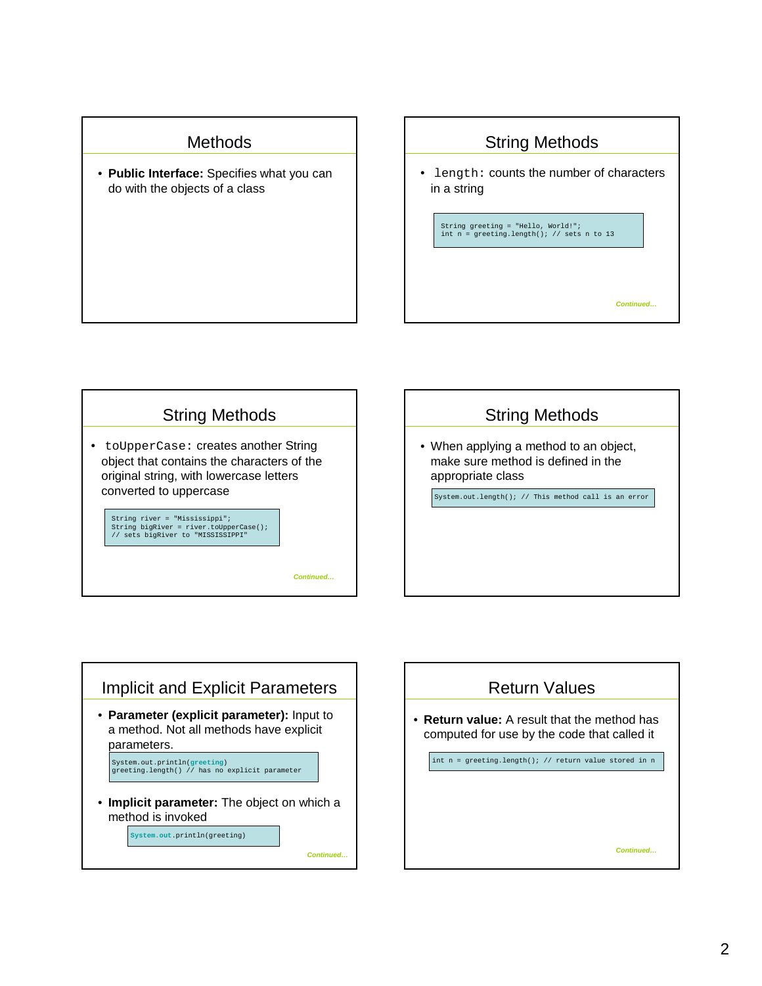### **Methods**

• **Public Interface:** Specifies what you can do with the objects of a class